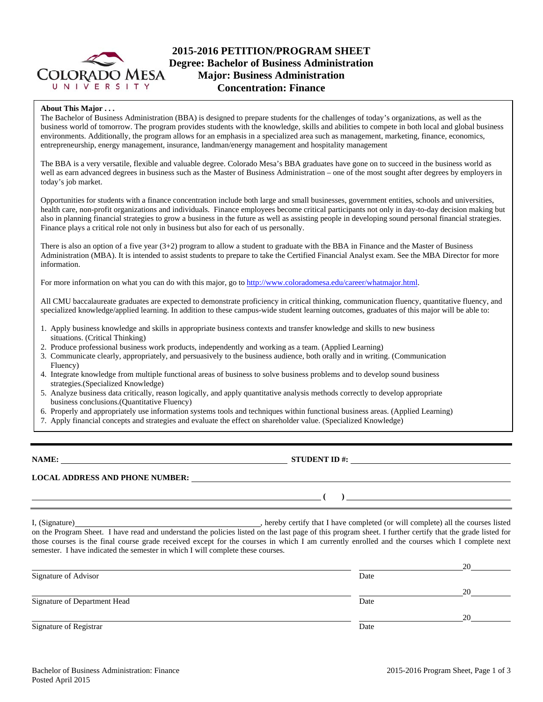

# **2015-2016 PETITION/PROGRAM SHEET Degree: Bachelor of Business Administration Major: Business Administration Concentration: Finance**

### **About This Major . . .**

The Bachelor of Business Administration (BBA) is designed to prepare students for the challenges of today's organizations, as well as the business world of tomorrow. The program provides students with the knowledge, skills and abilities to compete in both local and global business environments. Additionally, the program allows for an emphasis in a specialized area such as management, marketing, finance, economics, entrepreneurship, energy management, insurance, landman/energy management and hospitality management

The BBA is a very versatile, flexible and valuable degree. Colorado Mesa's BBA graduates have gone on to succeed in the business world as well as earn advanced degrees in business such as the Master of Business Administration – one of the most sought after degrees by employers in today's job market.

Opportunities for students with a finance concentration include both large and small businesses, government entities, schools and universities, health care, non-profit organizations and individuals. Finance employees become critical participants not only in day-to-day decision making but also in planning financial strategies to grow a business in the future as well as assisting people in developing sound personal financial strategies. Finance plays a critical role not only in business but also for each of us personally.

There is also an option of a five year (3+2) program to allow a student to graduate with the BBA in Finance and the Master of Business Administration (MBA). It is intended to assist students to prepare to take the Certified Financial Analyst exam. See the MBA Director for more information.

For more information on what you can do with this major, go to http://www.coloradomesa.edu/career/whatmajor.html.

All CMU baccalaureate graduates are expected to demonstrate proficiency in critical thinking, communication fluency, quantitative fluency, and specialized knowledge/applied learning. In addition to these campus-wide student learning outcomes, graduates of this major will be able to:

- 1. Apply business knowledge and skills in appropriate business contexts and transfer knowledge and skills to new business situations. (Critical Thinking)
- 2. Produce professional business work products, independently and working as a team. (Applied Learning)
- 3. Communicate clearly, appropriately, and persuasively to the business audience, both orally and in writing. (Communication Fluency)
- 4. Integrate knowledge from multiple functional areas of business to solve business problems and to develop sound business strategies.(Specialized Knowledge)
- 5. Analyze business data critically, reason logically, and apply quantitative analysis methods correctly to develop appropriate business conclusions.(Quantitative Fluency)
- 6. Properly and appropriately use information systems tools and techniques within functional business areas. (Applied Learning)
- 7. Apply financial concepts and strategies and evaluate the effect on shareholder value. (Specialized Knowledge)

**NAME: STUDENT ID #: STUDENT ID #:** 

**LOCAL ADDRESS AND PHONE NUMBER:**

 **( )** 

I, (Signature) **Source 2008** (Signature) **, hereby certify that I have completed** (or will complete) all the courses listed on the Program Sheet. I have read and understand the policies listed on the last page of this program sheet. I further certify that the grade listed for those courses is the final course grade received except for the courses in which I am currently enrolled and the courses which I complete next semester. I have indicated the semester in which I will complete these courses.

|                              |      | 20 |
|------------------------------|------|----|
| Signature of Advisor         | Date |    |
|                              |      | 20 |
| Signature of Department Head | Date |    |
|                              |      | 20 |
| Signature of Registrar       | Date |    |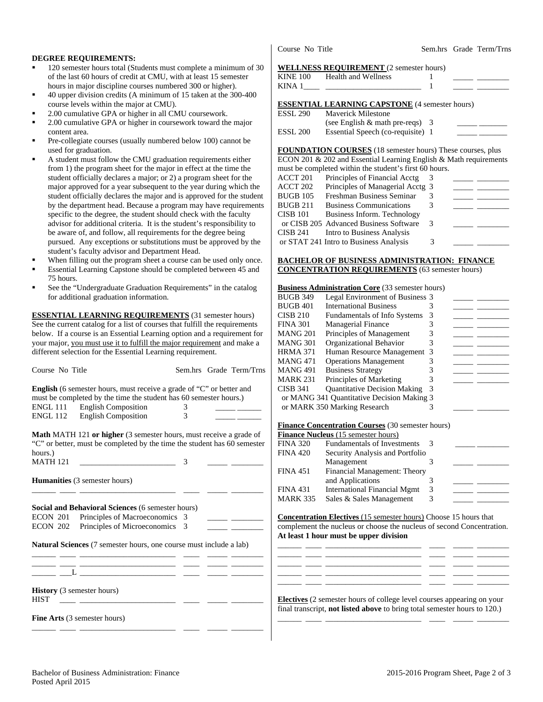### **DEGREE REQUIREMENTS:**

- 120 semester hours total (Students must complete a minimum of 30 of the last 60 hours of credit at CMU, with at least 15 semester hours in major discipline courses numbered 300 or higher).
- 40 upper division credits (A minimum of 15 taken at the 300-400 course levels within the major at CMU).
- 2.00 cumulative GPA or higher in all CMU coursework.
- 2.00 cumulative GPA or higher in coursework toward the major content area.
- Pre-collegiate courses (usually numbered below 100) cannot be used for graduation.
- A student must follow the CMU graduation requirements either from 1) the program sheet for the major in effect at the time the student officially declares a major; or 2) a program sheet for the major approved for a year subsequent to the year during which the student officially declares the major and is approved for the student by the department head. Because a program may have requirements specific to the degree, the student should check with the faculty advisor for additional criteria. It is the student's responsibility to be aware of, and follow, all requirements for the degree being pursued. Any exceptions or substitutions must be approved by the student's faculty advisor and Department Head.
- When filling out the program sheet a course can be used only once. Essential Learning Capstone should be completed between 45 and
- 75 hours. See the "Undergraduate Graduation Requirements" in the catalog for additional graduation information.

**ESSENTIAL LEARNING REQUIREMENTS** (31 semester hours) See the current catalog for a list of courses that fulfill the requirements below. If a course is an Essential Learning option and a requirement for your major, you must use it to fulfill the major requirement and make a different selection for the Essential Learning requirement.

| Course No Title                                  |                                                                                                                                                                                                                  |        | Sem.hrs Grade Term/Trns |
|--------------------------------------------------|------------------------------------------------------------------------------------------------------------------------------------------------------------------------------------------------------------------|--------|-------------------------|
|                                                  | <b>English</b> (6 semester hours, must receive a grade of "C" or better and<br>must be completed by the time the student has 60 semester hours.)<br>ENGL 111 English Composition<br>ENGL 112 English Composition | 3<br>3 |                         |
| hours.)                                          | <b>Math MATH 121 or higher</b> (3 semester hours, must receive a grade of<br>"C" or better, must be completed by the time the student has 60 semester                                                            |        |                         |
| <b>MATH 121</b>                                  |                                                                                                                                                                                                                  | 3      |                         |
|                                                  | <b>Humanities</b> (3 semester hours)                                                                                                                                                                             |        |                         |
|                                                  | <b>Social and Behavioral Sciences (6 semester hours)</b>                                                                                                                                                         |        |                         |
|                                                  | ECON 201 Principles of Macroeconomics 3                                                                                                                                                                          |        |                         |
|                                                  | ECON 202 Principles of Microeconomics 3                                                                                                                                                                          |        |                         |
|                                                  | <b>Natural Sciences</b> (7 semester hours, one course must include a lab)<br><u> 1989 - Johann Harry Harry Harry Harry Harry Harry Harry Harry Harry Harry Harry Harry Harry Harry Harry Harry</u>               |        |                         |
|                                                  | <u> 1988 - Johann Barbara, martin amerikan basar da</u>                                                                                                                                                          |        |                         |
| <b>History</b> (3 semester hours)<br><b>HIST</b> |                                                                                                                                                                                                                  |        |                         |
| - -                                              | <b>Fine Arts</b> (3 semester hours)                                                                                                                                                                              |        |                         |

Course No Title Sem.hrs Grade Term/Trns

#### **WELLNESS REQUIREMENT** (2 semester hours)

| KINE 100 Health and Wellness                          |  |  |
|-------------------------------------------------------|--|--|
| <b>ESSENTIAL LEARNING CAPSTONE</b> (4 semester hours) |  |  |
| ESSL 290 Mayerick Milestone                           |  |  |

|          | (see English $&$ math pre-reqs) 3 |  |
|----------|-----------------------------------|--|
| ESSL 200 | Essential Speech (co-requisite) 1 |  |

**FOUNDATION COURSES** (18 semester hours) These courses, plus ECON 201 & 202 and Essential Learning English & Math requirements  $h$ e completed within the student's first  $\frac{1}{2}$ 

|          | must be completed within the student s first 60 hours. |    |  |
|----------|--------------------------------------------------------|----|--|
| ACCT 201 | Principles of Financial Acctg                          |    |  |
| ACCT 202 | Principles of Managerial Acctg 3                       |    |  |
| BUGB 105 | Freshman Business Seminar                              |    |  |
| BUGB 211 | <b>Business Communications</b>                         |    |  |
| CISB 101 | Business Inform. Technology                            |    |  |
|          | or CISB 205 Advanced Business Software                 | -3 |  |
| CISB 241 | Intro to Business Analysis                             |    |  |
|          | or STAT 241 Intro to Business Analysis                 | 3  |  |

#### **BACHELOR OF BUSINESS ADMINISTRATION: FINANCE CONCENTRATION REQUIREMENTS** (63 semester hours)

# **Business Administration Core** (33 semester hours)

| <b>BUGB 349</b> | Legal Environment of Business 3            |   |  |
|-----------------|--------------------------------------------|---|--|
| <b>BUGB 401</b> | <b>International Business</b>              |   |  |
| <b>CISB 210</b> | <b>Fundamentals of Info Systems</b>        | 3 |  |
| <b>FINA 301</b> | <b>Managerial Finance</b>                  |   |  |
| MANG 201        | Principles of Management                   |   |  |
| MANG 301        | Organizational Behavior                    |   |  |
| <b>HRMA 371</b> | Human Resource Management 3                |   |  |
| MANG 471        | <b>Operations Management</b>               |   |  |
| <b>MANG 491</b> | <b>Business Strategy</b>                   |   |  |
| <b>MARK 231</b> | Principles of Marketing                    |   |  |
| CISB 341        | <b>Quantitative Decision Making</b>        | 3 |  |
|                 | or MANG 341 Quantitative Decision Making 3 |   |  |
|                 | or MARK 350 Marking Research               |   |  |
|                 |                                            |   |  |

### **Finance Concentration Courses** (30 semester hours)

|                 | <b>Finance Nucleus</b> (15 semester hours) |   |  |
|-----------------|--------------------------------------------|---|--|
| <b>FINA 320</b> | <b>Fundamentals of Investments</b>         |   |  |
| <b>FINA 420</b> | Security Analysis and Portfolio            |   |  |
|                 | Management                                 |   |  |
| <b>FINA 451</b> | Financial Management: Theory               |   |  |
|                 | and Applications                           |   |  |
| <b>FINA 431</b> | <b>International Financial Mgmt</b>        | 3 |  |
| <b>MARK 335</b> | Sales & Sales Management                   |   |  |
|                 |                                            |   |  |

**Concentration Electives** (15 semester hours) Choose 15 hours that complement the nucleus or choose the nucleus of second Concentration. **At least 1 hour must be upper division**

\_\_\_\_\_\_ \_\_\_\_ \_\_\_\_\_\_\_\_\_\_\_\_\_\_\_\_\_\_\_\_\_\_\_\_ \_\_\_\_ \_\_\_\_\_ \_\_\_\_\_\_\_\_ \_\_\_\_\_\_ \_\_\_\_ \_\_\_\_\_\_\_\_\_\_\_\_\_\_\_\_\_\_\_\_\_\_\_\_ \_\_\_\_ \_\_\_\_\_ \_\_\_\_\_\_\_\_ \_\_\_\_\_\_ \_\_\_\_ \_\_\_\_\_\_\_\_\_\_\_\_\_\_\_\_\_\_\_\_\_\_\_\_ \_\_\_\_ \_\_\_\_\_ \_\_\_\_\_\_\_\_ \_\_\_\_\_\_ \_\_\_\_ \_\_\_\_\_\_\_\_\_\_\_\_\_\_\_\_\_\_\_\_\_\_\_\_ \_\_\_\_ \_\_\_\_\_ \_\_\_\_\_\_\_\_ \_\_\_\_\_\_ \_\_\_\_ \_\_\_\_\_\_\_\_\_\_\_\_\_\_\_\_\_\_\_\_\_\_\_\_ \_\_\_\_ \_\_\_\_\_ \_\_\_\_\_\_\_\_

**Electives** (2 semester hours of college level courses appearing on your final transcript, **not listed above** to bring total semester hours to 120.) \_\_\_\_\_\_ \_\_\_\_ \_\_\_\_\_\_\_\_\_\_\_\_\_\_\_\_\_\_\_\_\_\_\_\_ \_\_\_\_ \_\_\_\_\_ \_\_\_\_\_\_\_\_